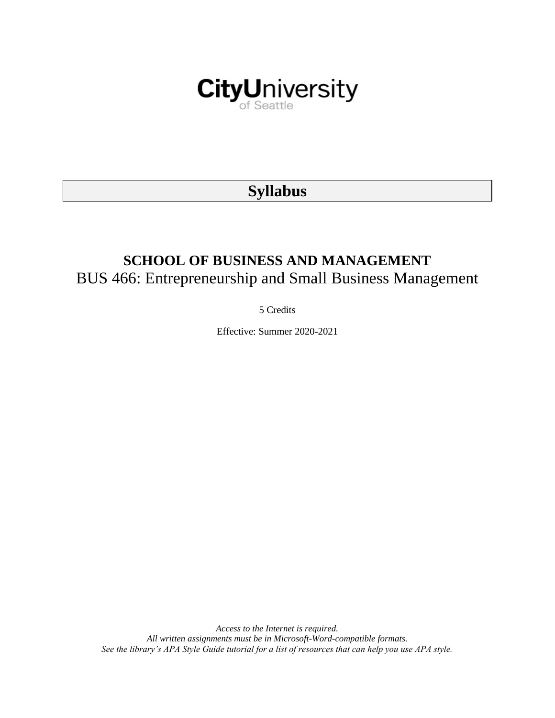

# **Syllabus**

# **SCHOOL OF BUSINESS AND MANAGEMENT** BUS 466: Entrepreneurship and Small Business Management

5 Credits

Effective: Summer 2020-2021

*Access to the Internet is required. All written assignments must be in Microsoft-Word-compatible formats. See the library's APA Style Guide tutorial for a list of resources that can help you use APA style.*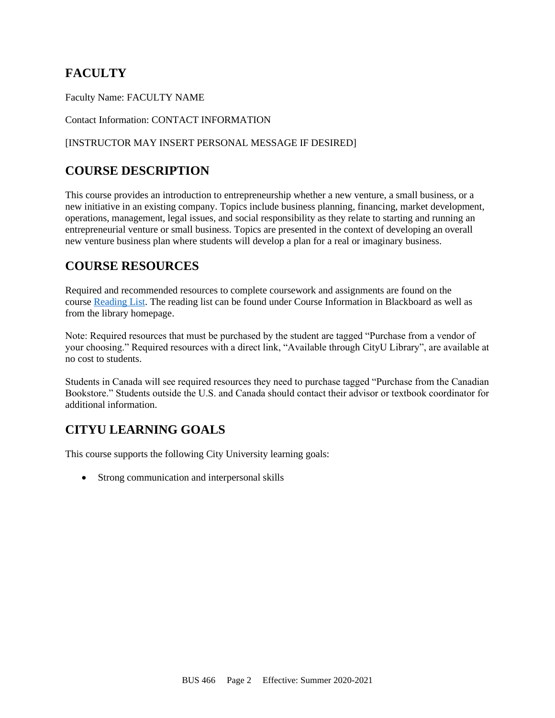# **FACULTY**

Faculty Name: FACULTY NAME

Contact Information: CONTACT INFORMATION

### [INSTRUCTOR MAY INSERT PERSONAL MESSAGE IF DESIRED]

# **COURSE DESCRIPTION**

This course provides an introduction to entrepreneurship whether a new venture, a small business, or a new initiative in an existing company. Topics include business planning, financing, market development, operations, management, legal issues, and social responsibility as they relate to starting and running an entrepreneurial venture or small business. Topics are presented in the context of developing an overall new venture business plan where students will develop a plan for a real or imaginary business.

# **COURSE RESOURCES**

Required and recommended resources to complete coursework and assignments are found on the course [Reading List.](https://nam03.safelinks.protection.outlook.com/?url=https%3A%2F%2Fcityu.alma.exlibrisgroup.com%2Fleganto%2Flogin%3Fauth%3DSAML&data=04%7C01%7CMMara%40cityu.edu%7C70673ce0fe0144040eda08d87472e204%7Cb3fa96d9f5154662add763d854e39e63%7C1%7C0%7C637387384066198115%7CUnknown%7CTWFpbGZsb3d8eyJWIjoiMC4wLjAwMDAiLCJQIjoiV2luMzIiLCJBTiI6Ik1haWwiLCJXVCI6Mn0%3D%7C1000&sdata=JbwP%2Fm5Q%2BMgIUWa%2FXceos%2BoiLv0DX%2B%2FL%2BNGNMbX9P8E%3D&reserved=0) The reading list can be found under Course Information in Blackboard as well as from the library homepage.

Note: Required resources that must be purchased by the student are tagged "Purchase from a vendor of your choosing." Required resources with a direct link, "Available through CityU Library", are available at no cost to students.

Students in Canada will see required resources they need to purchase tagged "Purchase from the Canadian Bookstore." Students outside the U.S. and Canada should contact their advisor or textbook coordinator for additional information.

# **CITYU LEARNING GOALS**

This course supports the following City University learning goals:

• Strong communication and interpersonal skills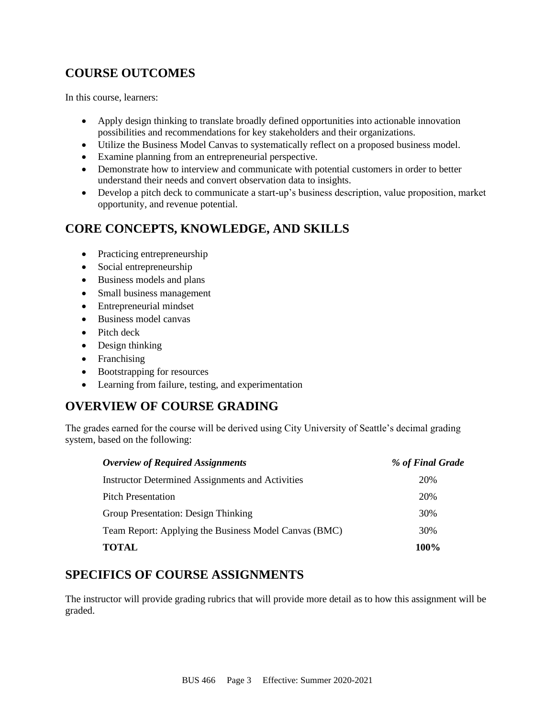# **COURSE OUTCOMES**

In this course, learners:

- Apply design thinking to translate broadly defined opportunities into actionable innovation possibilities and recommendations for key stakeholders and their organizations.
- Utilize the Business Model Canvas to systematically reflect on a proposed business model.
- Examine planning from an entrepreneurial perspective.
- Demonstrate how to interview and communicate with potential customers in order to better understand their needs and convert observation data to insights.
- Develop a pitch deck to communicate a start-up's business description, value proposition, market opportunity, and revenue potential.

# **CORE CONCEPTS, KNOWLEDGE, AND SKILLS**

- Practicing entrepreneurship
- Social entrepreneurship
- Business models and plans
- Small business management
- Entrepreneurial mindset
- Business model canvas
- Pitch deck
- Design thinking
- Franchising
- Bootstrapping for resources
- Learning from failure, testing, and experimentation

# **OVERVIEW OF COURSE GRADING**

The grades earned for the course will be derived using City University of Seattle's decimal grading system, based on the following:

| <b>Overview of Required Assignments</b>                 | % of Final Grade |
|---------------------------------------------------------|------------------|
| <b>Instructor Determined Assignments and Activities</b> | 20%              |
| <b>Pitch Presentation</b>                               | 20%              |
| Group Presentation: Design Thinking                     | 30%              |
| Team Report: Applying the Business Model Canvas (BMC)   | 30%              |
| <b>TOTAL</b>                                            | 100%             |

# **SPECIFICS OF COURSE ASSIGNMENTS**

The instructor will provide grading rubrics that will provide more detail as to how this assignment will be graded.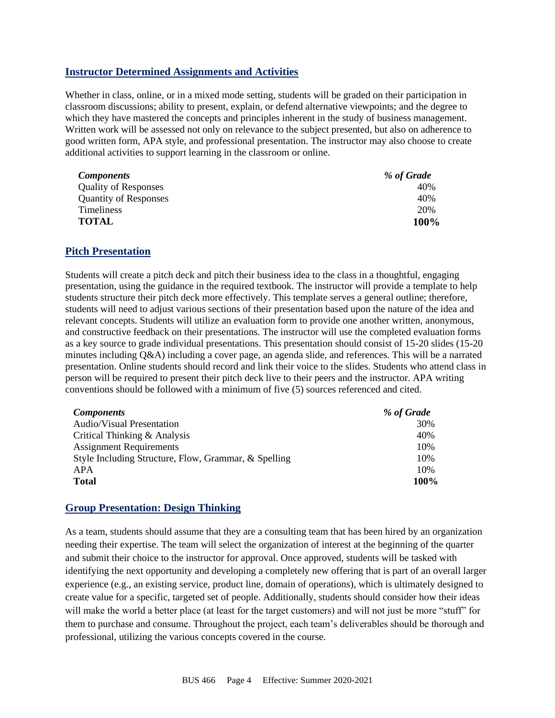### **Instructor Determined Assignments and Activities**

Whether in class, online, or in a mixed mode setting, students will be graded on their participation in classroom discussions; ability to present, explain, or defend alternative viewpoints; and the degree to which they have mastered the concepts and principles inherent in the study of business management. Written work will be assessed not only on relevance to the subject presented, but also on adherence to good written form, APA style, and professional presentation. The instructor may also choose to create additional activities to support learning in the classroom or online.

| <b>Components</b>            | % of Grade |
|------------------------------|------------|
| <b>Quality of Responses</b>  | 40%        |
| <b>Quantity of Responses</b> | 40%        |
| <b>Timeliness</b>            | 20%        |
| <b>TOTAL</b>                 | 100%       |

### **Pitch Presentation**

Students will create a pitch deck and pitch their business idea to the class in a thoughtful, engaging presentation, using the guidance in the required textbook. The instructor will provide a template to help students structure their pitch deck more effectively. This template serves a general outline; therefore, students will need to adjust various sections of their presentation based upon the nature of the idea and relevant concepts. Students will utilize an evaluation form to provide one another written, anonymous, and constructive feedback on their presentations. The instructor will use the completed evaluation forms as a key source to grade individual presentations. This presentation should consist of 15-20 slides (15-20 minutes including Q&A) including a cover page, an agenda slide, and references. This will be a narrated presentation. Online students should record and link their voice to the slides. Students who attend class in person will be required to present their pitch deck live to their peers and the instructor. APA writing conventions should be followed with a minimum of five (5) sources referenced and cited.

| <b>Components</b>                                    | % of Grade |
|------------------------------------------------------|------------|
| <b>Audio/Visual Presentation</b>                     | 30%        |
| Critical Thinking & Analysis                         | 40%        |
| <b>Assignment Requirements</b>                       | 10%        |
| Style Including Structure, Flow, Grammar, & Spelling | 10%        |
| APA                                                  | 10%        |
| <b>Total</b>                                         | 100%       |

### **Group Presentation: Design Thinking**

As a team, students should assume that they are a consulting team that has been hired by an organization needing their expertise. The team will select the organization of interest at the beginning of the quarter and submit their choice to the instructor for approval. Once approved, students will be tasked with identifying the next opportunity and developing a completely new offering that is part of an overall larger experience (e.g., an existing service, product line, domain of operations), which is ultimately designed to create value for a specific, targeted set of people. Additionally, students should consider how their ideas will make the world a better place (at least for the target customers) and will not just be more "stuff" for them to purchase and consume. Throughout the project, each team's deliverables should be thorough and professional, utilizing the various concepts covered in the course.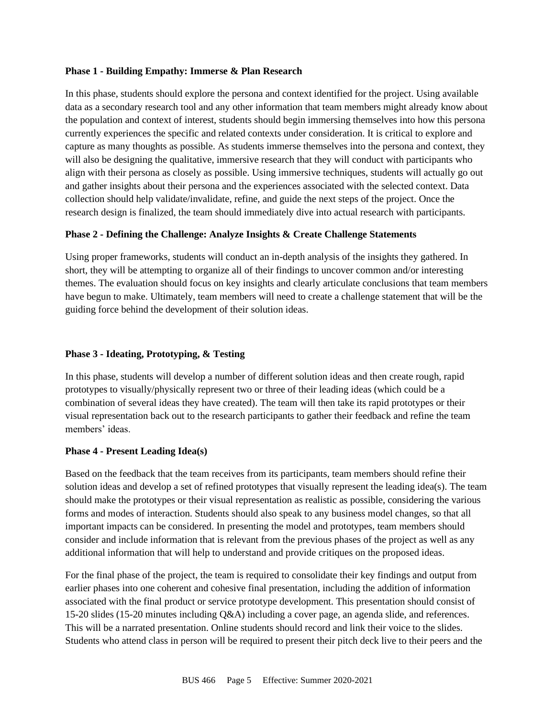#### **Phase 1 - Building Empathy: Immerse & Plan Research**

In this phase, students should explore the persona and context identified for the project. Using available data as a secondary research tool and any other information that team members might already know about the population and context of interest, students should begin immersing themselves into how this persona currently experiences the specific and related contexts under consideration. It is critical to explore and capture as many thoughts as possible. As students immerse themselves into the persona and context, they will also be designing the qualitative, immersive research that they will conduct with participants who align with their persona as closely as possible. Using immersive techniques, students will actually go out and gather insights about their persona and the experiences associated with the selected context. Data collection should help validate/invalidate, refine, and guide the next steps of the project. Once the research design is finalized, the team should immediately dive into actual research with participants.

#### **Phase 2 - Defining the Challenge: Analyze Insights & Create Challenge Statements**

Using proper frameworks, students will conduct an in-depth analysis of the insights they gathered. In short, they will be attempting to organize all of their findings to uncover common and/or interesting themes. The evaluation should focus on key insights and clearly articulate conclusions that team members have begun to make. Ultimately, team members will need to create a challenge statement that will be the guiding force behind the development of their solution ideas.

#### **Phase 3 - Ideating, Prototyping, & Testing**

In this phase, students will develop a number of different solution ideas and then create rough, rapid prototypes to visually/physically represent two or three of their leading ideas (which could be a combination of several ideas they have created). The team will then take its rapid prototypes or their visual representation back out to the research participants to gather their feedback and refine the team members' ideas.

#### **Phase 4 - Present Leading Idea(s)**

Based on the feedback that the team receives from its participants, team members should refine their solution ideas and develop a set of refined prototypes that visually represent the leading idea(s). The team should make the prototypes or their visual representation as realistic as possible, considering the various forms and modes of interaction. Students should also speak to any business model changes, so that all important impacts can be considered. In presenting the model and prototypes, team members should consider and include information that is relevant from the previous phases of the project as well as any additional information that will help to understand and provide critiques on the proposed ideas.

For the final phase of the project, the team is required to consolidate their key findings and output from earlier phases into one coherent and cohesive final presentation, including the addition of information associated with the final product or service prototype development. This presentation should consist of 15-20 slides (15-20 minutes including Q&A) including a cover page, an agenda slide, and references. This will be a narrated presentation. Online students should record and link their voice to the slides. Students who attend class in person will be required to present their pitch deck live to their peers and the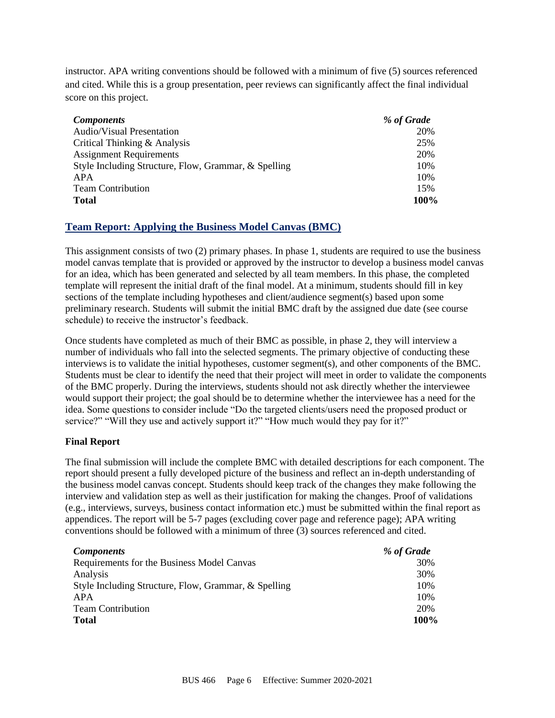instructor. APA writing conventions should be followed with a minimum of five (5) sources referenced and cited. While this is a group presentation, peer reviews can significantly affect the final individual score on this project.

| <b>Components</b>                                    | % of Grade |
|------------------------------------------------------|------------|
| <b>Audio/Visual Presentation</b>                     | 20%        |
| Critical Thinking & Analysis                         | 25%        |
| <b>Assignment Requirements</b>                       | 20%        |
| Style Including Structure, Flow, Grammar, & Spelling | 10%        |
| APA                                                  | 10%        |
| <b>Team Contribution</b>                             | 15%        |
| <b>Total</b>                                         | 100%       |

## **Team Report: Applying the Business Model Canvas (BMC)**

This assignment consists of two (2) primary phases. In phase 1, students are required to use the business model canvas template that is provided or approved by the instructor to develop a business model canvas for an idea, which has been generated and selected by all team members. In this phase, the completed template will represent the initial draft of the final model. At a minimum, students should fill in key sections of the template including hypotheses and client/audience segment(s) based upon some preliminary research. Students will submit the initial BMC draft by the assigned due date (see course schedule) to receive the instructor's feedback.

Once students have completed as much of their BMC as possible, in phase 2, they will interview a number of individuals who fall into the selected segments. The primary objective of conducting these interviews is to validate the initial hypotheses, customer segment(s), and other components of the BMC. Students must be clear to identify the need that their project will meet in order to validate the components of the BMC properly. During the interviews, students should not ask directly whether the interviewee would support their project; the goal should be to determine whether the interviewee has a need for the idea. Some questions to consider include "Do the targeted clients/users need the proposed product or service?" "Will they use and actively support it?" "How much would they pay for it?"

### **Final Report**

The final submission will include the complete BMC with detailed descriptions for each component. The report should present a fully developed picture of the business and reflect an in-depth understanding of the business model canvas concept. Students should keep track of the changes they make following the interview and validation step as well as their justification for making the changes. Proof of validations (e.g., interviews, surveys, business contact information etc.) must be submitted within the final report as appendices. The report will be 5-7 pages (excluding cover page and reference page); APA writing conventions should be followed with a minimum of three (3) sources referenced and cited.

| <b>Components</b>                                    | % of Grade |
|------------------------------------------------------|------------|
| Requirements for the Business Model Canvas           | 30%        |
| Analysis                                             | 30%        |
| Style Including Structure, Flow, Grammar, & Spelling | 10%        |
| APA                                                  | 10%        |
| <b>Team Contribution</b>                             | 20%        |
| <b>Total</b>                                         | 100%       |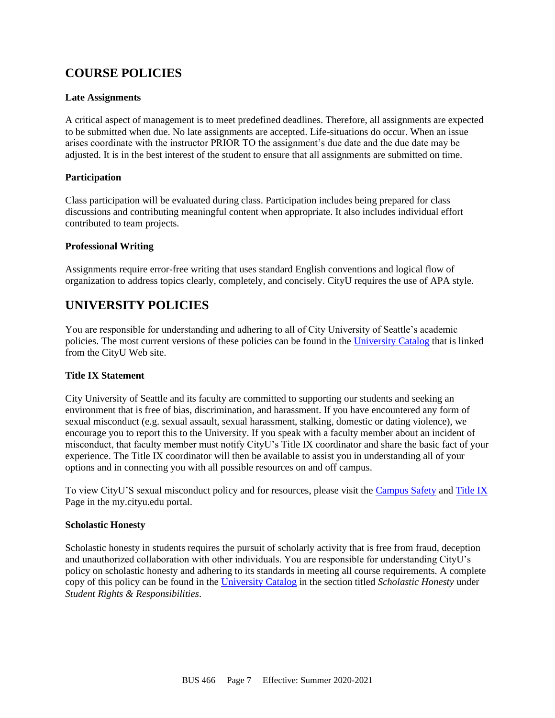# **COURSE POLICIES**

### **Late Assignments**

A critical aspect of management is to meet predefined deadlines. Therefore, all assignments are expected to be submitted when due. No late assignments are accepted. Life-situations do occur. When an issue arises coordinate with the instructor PRIOR TO the assignment's due date and the due date may be adjusted. It is in the best interest of the student to ensure that all assignments are submitted on time.

### **Participation**

Class participation will be evaluated during class. Participation includes being prepared for class discussions and contributing meaningful content when appropriate. It also includes individual effort contributed to team projects.

### **Professional Writing**

Assignments require error-free writing that uses standard English conventions and logical flow of organization to address topics clearly, completely, and concisely. CityU requires the use of APA style.

# **UNIVERSITY POLICIES**

You are responsible for understanding and adhering to all of City University of Seattle's academic policies. The most current versions of these policies can be found in the [University Catalog](http://www.cityu.edu/catalog/) that is linked from the CityU Web site.

### **Title IX Statement**

City University of Seattle and its faculty are committed to supporting our students and seeking an environment that is free of bias, discrimination, and harassment. If you have encountered any form of sexual misconduct (e.g. sexual assault, sexual harassment, stalking, domestic or dating violence), we encourage you to report this to the University. If you speak with a faculty member about an incident of misconduct, that faculty member must notify CityU's Title IX coordinator and share the basic fact of your experience. The Title IX coordinator will then be available to assist you in understanding all of your options and in connecting you with all possible resources on and off campus.

To view CityU'S sexual misconduct policy and for resources, please visit the [Campus Safety](https://my.cityu.edu/department/campus-safety/) an[d Title IX](https://my.cityu.edu/titleix/) Page in the my.cityu.edu portal.

### **Scholastic Honesty**

Scholastic honesty in students requires the pursuit of scholarly activity that is free from fraud, deception and unauthorized collaboration with other individuals. You are responsible for understanding CityU's policy on scholastic honesty and adhering to its standards in meeting all course requirements. A complete copy of this policy can be found in the [University Catalog](http://www.cityu.edu/catalog/) in the section titled *Scholastic Honesty* under *Student Rights & Responsibilities*.